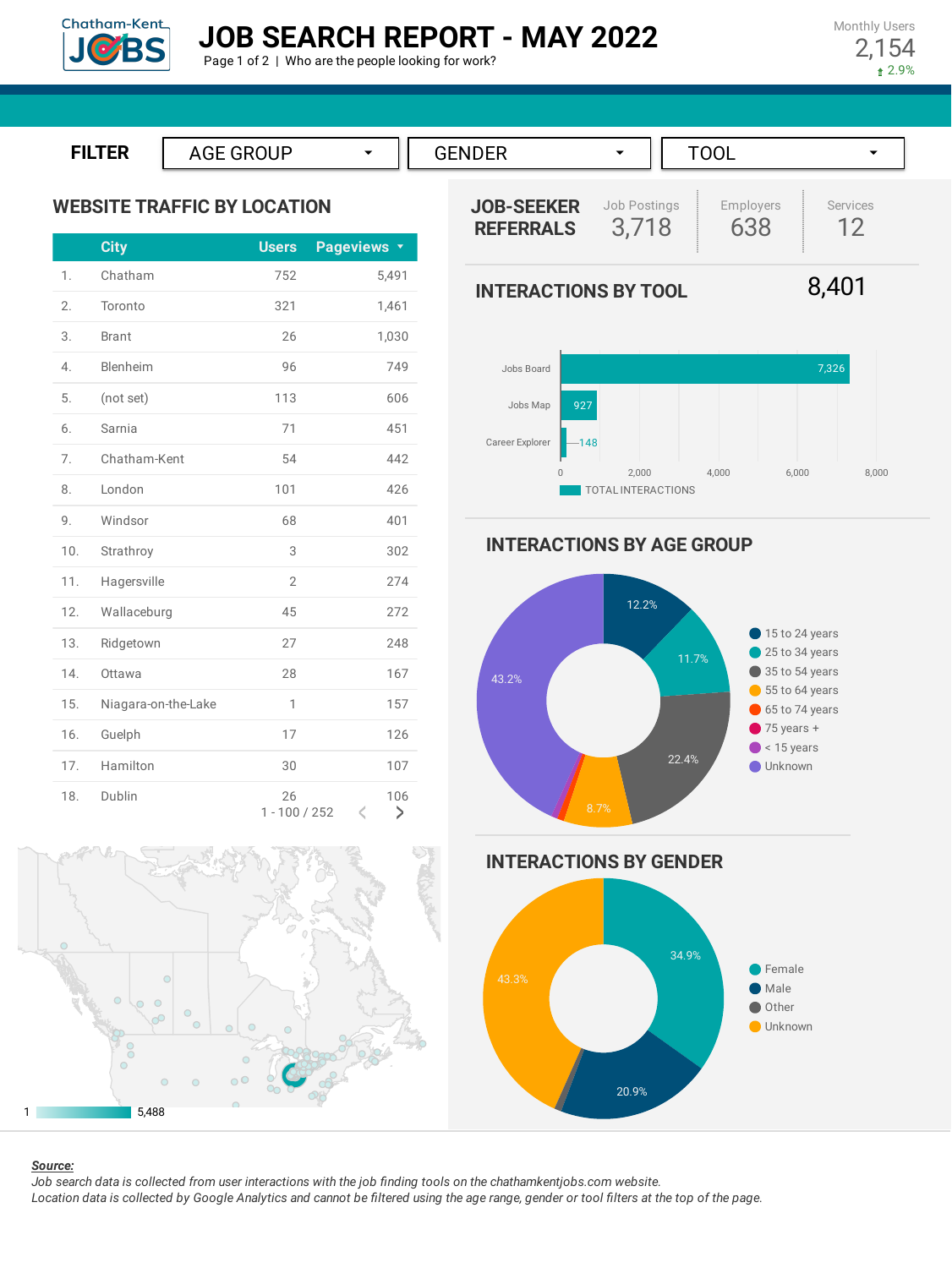

Monthly Users 2,154  $* 2.9%$ 





16. Guelph 17 126





22.4%

 $\bullet$  75 years +  $\bullet$  < 15 years Unknown

#### *Source:*

1 5,488

Job search data is collected from user interactions with the job finding tools on the chathamkentjobs.com website. Location data is collected by Google Analytics and cannot be filtered using the age range, gender or tool filters at the top of the page.